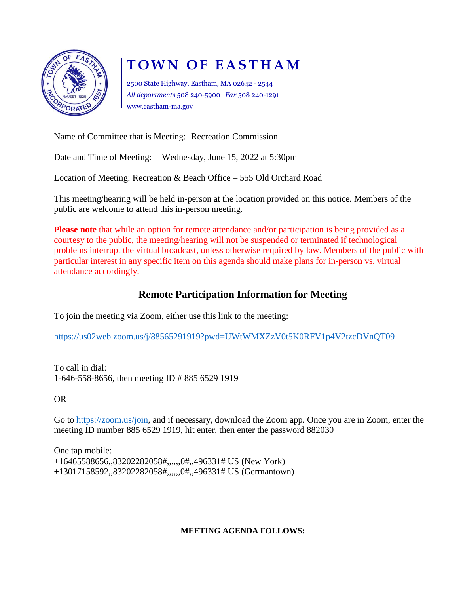

# **TOWN OF EASTHAM**

2500 State Highway, Eastham, MA 02642 - 2544 *All departments* 508 240-5900 *Fax* 508 240-1291 www.eastham-ma.gov

Name of Committee that is Meeting: Recreation Commission

Date and Time of Meeting: Wednesday, June 15, 2022 at 5:30pm

Location of Meeting: Recreation & Beach Office – 555 Old Orchard Road

This meeting/hearing will be held in-person at the location provided on this notice. Members of the public are welcome to attend this in-person meeting.

**Please note** that while an option for remote attendance and/or participation is being provided as a courtesy to the public, the meeting/hearing will not be suspended or terminated if technological problems interrupt the virtual broadcast, unless otherwise required by law. Members of the public with particular interest in any specific item on this agenda should make plans for in-person vs. virtual attendance accordingly.

### **Remote Participation Information for Meeting**

To join the meeting via Zoom, either use this link to the meeting:

<https://us02web.zoom.us/j/88565291919?pwd=UWtWMXZzV0t5K0RFV1p4V2tzcDVnQT09>

To call in dial: 1-646-558-8656, then meeting ID # 885 6529 1919

OR

Go to [https://zoom.us/join,](https://zoom.us/join) and if necessary, download the Zoom app. Once you are in Zoom, enter the meeting ID number 885 6529 1919, hit enter, then enter the password 882030

One tap mobile: +16465588656,,83202282058#,,,,,,0#,,496331# US (New York) +13017158592,,83202282058#,,,,,,0#,,496331# US (Germantown)

#### **MEETING AGENDA FOLLOWS:**